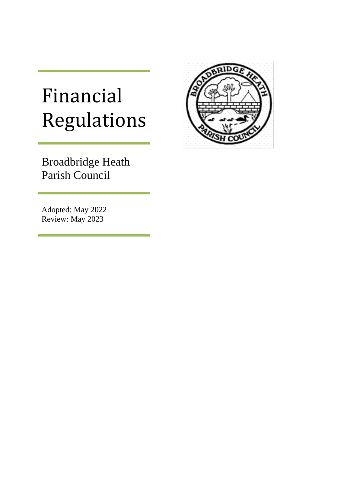# Financial Regulations

Broadbridge Heath Parish Council

Adopted: May 2022 Review: May 2023

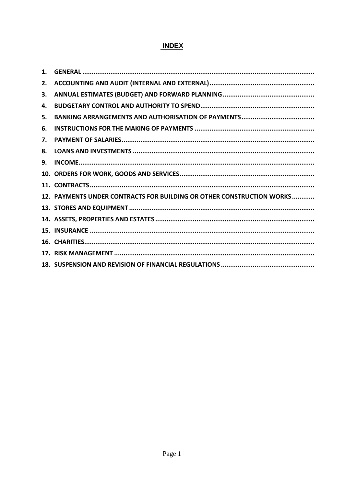# **INDEX**

| 1. |                                                                       |
|----|-----------------------------------------------------------------------|
| 2. |                                                                       |
| 3. |                                                                       |
| 4. |                                                                       |
| 5. |                                                                       |
| 6. |                                                                       |
| 7. |                                                                       |
| 8. |                                                                       |
| 9. |                                                                       |
|    |                                                                       |
|    |                                                                       |
|    | 12. PAYMENTS UNDER CONTRACTS FOR BUILDING OR OTHER CONSTRUCTION WORKS |
|    |                                                                       |
|    |                                                                       |
|    |                                                                       |
|    |                                                                       |
|    |                                                                       |
|    |                                                                       |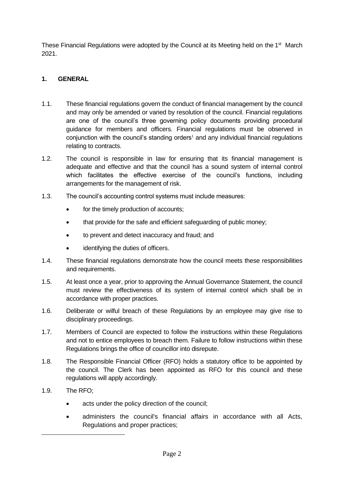These Financial Regulations were adopted by the Council at its Meeting held on the 1<sup>st</sup> March 2021.

# <span id="page-2-0"></span>**1. GENERAL**

- 1.1. These financial regulations govern the conduct of financial management by the council and may only be amended or varied by resolution of the council. Financial regulations are one of the council's three governing policy documents providing procedural guidance for members and officers. Financial regulations must be observed in conjunction with the council's standing orders<sup>1</sup> and any individual financial regulations relating to contracts.
- 1.2. The council is responsible in law for ensuring that its financial management is adequate and effective and that the council has a sound system of internal control which facilitates the effective exercise of the council's functions, including arrangements for the management of risk.
- 1.3. The council's accounting control systems must include measures:
	- for the timely production of accounts;
	- that provide for the safe and efficient safeguarding of public money;
	- to prevent and detect inaccuracy and fraud; and
	- identifying the duties of officers.
- 1.4. These financial regulations demonstrate how the council meets these responsibilities and requirements.
- 1.5. At least once a year, prior to approving the Annual Governance Statement, the council must review the effectiveness of its system of internal control which shall be in accordance with proper practices.
- 1.6. Deliberate or wilful breach of these Regulations by an employee may give rise to disciplinary proceedings.
- 1.7. Members of Council are expected to follow the instructions within these Regulations and not to entice employees to breach them. Failure to follow instructions within these Regulations brings the office of councillor into disrepute.
- 1.8. The Responsible Financial Officer (RFO) holds a statutory office to be appointed by the council. The Clerk has been appointed as RFO for this council and these regulations will apply accordingly.
- 1.9. The RFO;
	- acts under the policy direction of the council;
	- administers the council's financial affairs in accordance with all Acts, Regulations and proper practices;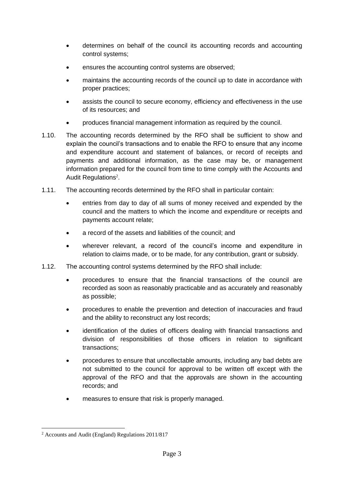- determines on behalf of the council its accounting records and accounting control systems;
- ensures the accounting control systems are observed;
- maintains the accounting records of the council up to date in accordance with proper practices;
- assists the council to secure economy, efficiency and effectiveness in the use of its resources; and
- produces financial management information as required by the council.
- 1.10. The accounting records determined by the RFO shall be sufficient to show and explain the council's transactions and to enable the RFO to ensure that any income and expenditure account and statement of balances, or record of receipts and payments and additional information, as the case may be, or management information prepared for the council from time to time comply with the Accounts and Audit Regulations<sup>2</sup>.
- 1.11. The accounting records determined by the RFO shall in particular contain:
	- entries from day to day of all sums of money received and expended by the council and the matters to which the income and expenditure or receipts and payments account relate;
	- a record of the assets and liabilities of the council; and
	- wherever relevant, a record of the council's income and expenditure in relation to claims made, or to be made, for any contribution, grant or subsidy.
- 1.12. The accounting control systems determined by the RFO shall include:
	- procedures to ensure that the financial transactions of the council are recorded as soon as reasonably practicable and as accurately and reasonably as possible;
	- procedures to enable the prevention and detection of inaccuracies and fraud and the ability to reconstruct any lost records;
	- identification of the duties of officers dealing with financial transactions and division of responsibilities of those officers in relation to significant transactions;
	- procedures to ensure that uncollectable amounts, including any bad debts are not submitted to the council for approval to be written off except with the approval of the RFO and that the approvals are shown in the accounting records; and
	- measures to ensure that risk is properly managed.

<sup>2</sup> Accounts and Audit (England) Regulations 2011/817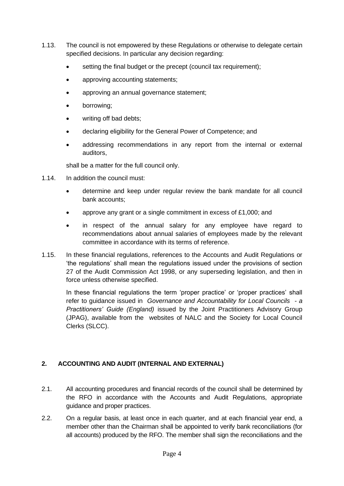- 1.13. The council is not empowered by these Regulations or otherwise to delegate certain specified decisions. In particular any decision regarding:
	- setting the final budget or the precept (council tax requirement);
	- approving accounting statements;
	- approving an annual governance statement;
	- borrowing;
	- writing off bad debts;
	- declaring eligibility for the General Power of Competence; and
	- addressing recommendations in any report from the internal or external auditors,

shall be a matter for the full council only.

- 1.14. In addition the council must:
	- determine and keep under regular review the bank mandate for all council bank accounts;
	- approve any grant or a single commitment in excess of £1,000; and
	- in respect of the annual salary for any employee have regard to recommendations about annual salaries of employees made by the relevant committee in accordance with its terms of reference.
- 1.15. In these financial regulations, references to the Accounts and Audit Regulations or 'the regulations' shall mean the regulations issued under the provisions of section 27 of the Audit Commission Act 1998, or any superseding legislation, and then in force unless otherwise specified.

In these financial regulations the term 'proper practice' or 'proper practices' shall refer to guidance issued in *Governance and Accountability for Local Councils - a Practitioners' Guide (England)* issued by the Joint Practitioners Advisory Group (JPAG), available from the websites of NALC and the Society for Local Council Clerks (SLCC).

# <span id="page-4-0"></span>**2. ACCOUNTING AND AUDIT (INTERNAL AND EXTERNAL)**

- 2.1. All accounting procedures and financial records of the council shall be determined by the RFO in accordance with the Accounts and Audit Regulations, appropriate guidance and proper practices.
- 2.2. On a regular basis, at least once in each quarter, and at each financial year end, a member other than the Chairman shall be appointed to verify bank reconciliations (for all accounts) produced by the RFO. The member shall sign the reconciliations and the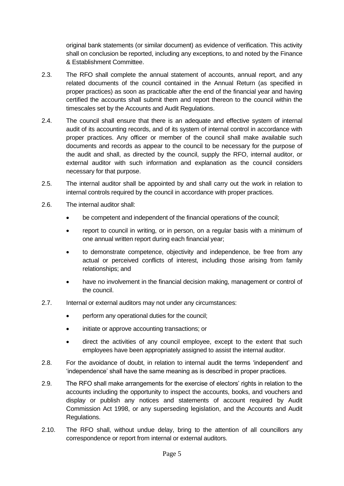original bank statements (or similar document) as evidence of verification. This activity shall on conclusion be reported, including any exceptions, to and noted by the Finance & Establishment Committee.

- 2.3. The RFO shall complete the annual statement of accounts, annual report, and any related documents of the council contained in the Annual Return (as specified in proper practices) as soon as practicable after the end of the financial year and having certified the accounts shall submit them and report thereon to the council within the timescales set by the Accounts and Audit Regulations.
- 2.4. The council shall ensure that there is an adequate and effective system of internal audit of its accounting records, and of its system of internal control in accordance with proper practices. Any officer or member of the council shall make available such documents and records as appear to the council to be necessary for the purpose of the audit and shall, as directed by the council, supply the RFO, internal auditor, or external auditor with such information and explanation as the council considers necessary for that purpose.
- 2.5. The internal auditor shall be appointed by and shall carry out the work in relation to internal controls required by the council in accordance with proper practices.
- 2.6. The internal auditor shall:
	- be competent and independent of the financial operations of the council;
	- report to council in writing, or in person, on a regular basis with a minimum of one annual written report during each financial year;
	- to demonstrate competence, objectivity and independence, be free from any actual or perceived conflicts of interest, including those arising from family relationships; and
	- have no involvement in the financial decision making, management or control of the council.
- 2.7. Internal or external auditors may not under any circumstances:
	- perform any operational duties for the council;
	- initiate or approve accounting transactions; or
	- direct the activities of any council employee, except to the extent that such employees have been appropriately assigned to assist the internal auditor.
- 2.8. For the avoidance of doubt, in relation to internal audit the terms 'independent' and 'independence' shall have the same meaning as is described in proper practices.
- 2.9. The RFO shall make arrangements for the exercise of electors' rights in relation to the accounts including the opportunity to inspect the accounts, books, and vouchers and display or publish any notices and statements of account required by Audit Commission Act 1998, or any superseding legislation, and the Accounts and Audit Regulations.
- 2.10. The RFO shall, without undue delay, bring to the attention of all councillors any correspondence or report from internal or external auditors.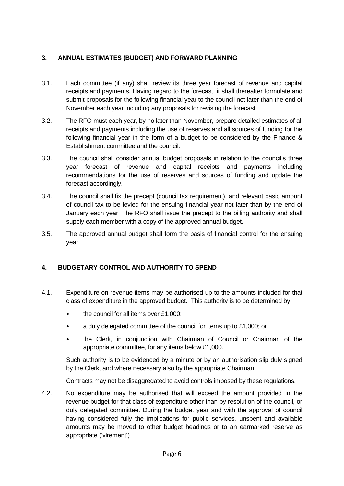# <span id="page-6-0"></span>**3. ANNUAL ESTIMATES (BUDGET) AND FORWARD PLANNING**

- 3.1. Each committee (if any) shall review its three year forecast of revenue and capital receipts and payments. Having regard to the forecast, it shall thereafter formulate and submit proposals for the following financial year to the council not later than the end of November each year including any proposals for revising the forecast.
- 3.2. The RFO must each year, by no later than November, prepare detailed estimates of all receipts and payments including the use of reserves and all sources of funding for the following financial year in the form of a budget to be considered by the Finance & Establishment committee and the council.
- 3.3. The council shall consider annual budget proposals in relation to the council's three year forecast of revenue and capital receipts and payments including recommendations for the use of reserves and sources of funding and update the forecast accordingly.
- 3.4. The council shall fix the precept (council tax requirement), and relevant basic amount of council tax to be levied for the ensuing financial year not later than by the end of January each year. The RFO shall issue the precept to the billing authority and shall supply each member with a copy of the approved annual budget.
- 3.5. The approved annual budget shall form the basis of financial control for the ensuing year.

# <span id="page-6-1"></span>**4. BUDGETARY CONTROL AND AUTHORITY TO SPEND**

- 4.1. Expenditure on revenue items may be authorised up to the amounts included for that class of expenditure in the approved budget. This authority is to be determined by:
	- the council for all items over £1,000;
	- a duly delegated committee of the council for items up to £1,000; or
	- the Clerk, in conjunction with Chairman of Council or Chairman of the appropriate committee, for any items below £1,000.

Such authority is to be evidenced by a minute or by an authorisation slip duly signed by the Clerk, and where necessary also by the appropriate Chairman.

Contracts may not be disaggregated to avoid controls imposed by these regulations.

4.2. No expenditure may be authorised that will exceed the amount provided in the revenue budget for that class of expenditure other than by resolution of the council, or duly delegated committee. During the budget year and with the approval of council having considered fully the implications for public services, unspent and available amounts may be moved to other budget headings or to an earmarked reserve as appropriate ('virement').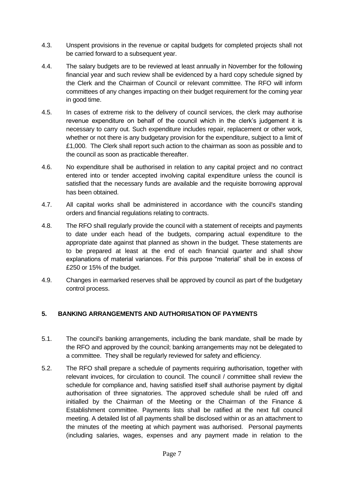- 4.3. Unspent provisions in the revenue or capital budgets for completed projects shall not be carried forward to a subsequent year.
- 4.4. The salary budgets are to be reviewed at least annually in November for the following financial year and such review shall be evidenced by a hard copy schedule signed by the Clerk and the Chairman of Council or relevant committee. The RFO will inform committees of any changes impacting on their budget requirement for the coming year in good time.
- 4.5. In cases of extreme risk to the delivery of council services, the clerk may authorise revenue expenditure on behalf of the council which in the clerk's judgement it is necessary to carry out. Such expenditure includes repair, replacement or other work, whether or not there is any budgetary provision for the expenditure, subject to a limit of £1,000. The Clerk shall report such action to the chairman as soon as possible and to the council as soon as practicable thereafter.
- 4.6. No expenditure shall be authorised in relation to any capital project and no contract entered into or tender accepted involving capital expenditure unless the council is satisfied that the necessary funds are available and the requisite borrowing approval has been obtained.
- 4.7. All capital works shall be administered in accordance with the council's standing orders and financial regulations relating to contracts.
- 4.8. The RFO shall regularly provide the council with a statement of receipts and payments to date under each head of the budgets, comparing actual expenditure to the appropriate date against that planned as shown in the budget. These statements are to be prepared at least at the end of each financial quarter and shall show explanations of material variances. For this purpose "material" shall be in excess of £250 or 15% of the budget.
- 4.9. Changes in earmarked reserves shall be approved by council as part of the budgetary control process.

#### <span id="page-7-0"></span>**5. BANKING ARRANGEMENTS AND AUTHORISATION OF PAYMENTS**

- 5.1. The council's banking arrangements, including the bank mandate, shall be made by the RFO and approved by the council; banking arrangements may not be delegated to a committee. They shall be regularly reviewed for safety and efficiency.
- 5.2. The RFO shall prepare a schedule of payments requiring authorisation, together with relevant invoices, for circulation to council. The council / committee shall review the schedule for compliance and, having satisfied itself shall authorise payment by digital authorisation of three signatories. The approved schedule shall be ruled off and initialled by the Chairman of the Meeting or the Chairman of the Finance & Establishment committee. Payments lists shall be ratified at the next full council meeting. A detailed list of all payments shall be disclosed within or as an attachment to the minutes of the meeting at which payment was authorised. Personal payments (including salaries, wages, expenses and any payment made in relation to the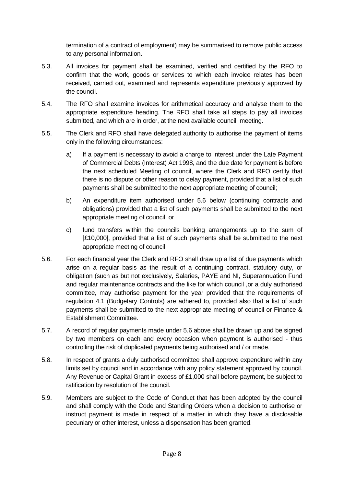termination of a contract of employment) may be summarised to remove public access to any personal information.

- 5.3. All invoices for payment shall be examined, verified and certified by the RFO to confirm that the work, goods or services to which each invoice relates has been received, carried out, examined and represents expenditure previously approved by the council.
- 5.4. The RFO shall examine invoices for arithmetical accuracy and analyse them to the appropriate expenditure heading. The RFO shall take all steps to pay all invoices submitted, and which are in order, at the next available council meeting.
- 5.5. The Clerk and RFO shall have delegated authority to authorise the payment of items only in the following circumstances:
	- a) If a payment is necessary to avoid a charge to interest under the Late Payment of Commercial Debts (Interest) Act 1998, and the due date for payment is before the next scheduled Meeting of council, where the Clerk and RFO certify that there is no dispute or other reason to delay payment, provided that a list of such payments shall be submitted to the next appropriate meeting of council;
	- b) An expenditure item authorised under 5.6 below (continuing contracts and obligations) provided that a list of such payments shall be submitted to the next appropriate meeting of council; or
	- c) fund transfers within the councils banking arrangements up to the sum of [£10,000], provided that a list of such payments shall be submitted to the next appropriate meeting of council.
- 5.6. For each financial year the Clerk and RFO shall draw up a list of due payments which arise on a regular basis as the result of a continuing contract, statutory duty, or obligation (such as but not exclusively, Salaries, PAYE and NI, Superannuation Fund and regular maintenance contracts and the like for which council ,or a duly authorised committee, may authorise payment for the year provided that the requirements of regulation 4.1 (Budgetary Controls) are adhered to, provided also that a list of such payments shall be submitted to the next appropriate meeting of council or Finance & Establishment Committee.
- 5.7. A record of regular payments made under 5.6 above shall be drawn up and be signed by two members on each and every occasion when payment is authorised - thus controlling the risk of duplicated payments being authorised and / or made.
- 5.8. In respect of grants a duly authorised committee shall approve expenditure within any limits set by council and in accordance with any policy statement approved by council. Any Revenue or Capital Grant in excess of £1,000 shall before payment, be subject to ratification by resolution of the council.
- 5.9. Members are subject to the Code of Conduct that has been adopted by the council and shall comply with the Code and Standing Orders when a decision to authorise or instruct payment is made in respect of a matter in which they have a disclosable pecuniary or other interest, unless a dispensation has been granted.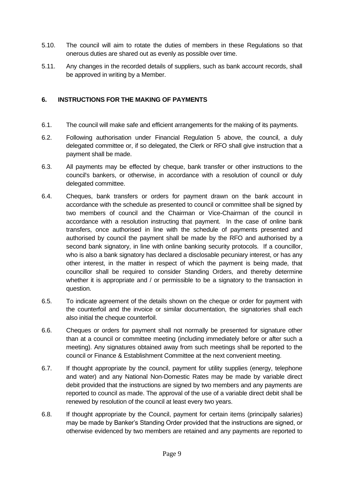- 5.10. The council will aim to rotate the duties of members in these Regulations so that onerous duties are shared out as evenly as possible over time.
- 5.11. Any changes in the recorded details of suppliers, such as bank account records, shall be approved in writing by a Member.

#### <span id="page-9-0"></span>**6. INSTRUCTIONS FOR THE MAKING OF PAYMENTS**

- 6.1. The council will make safe and efficient arrangements for the making of its payments.
- 6.2. Following authorisation under Financial Regulation 5 above, the council, a duly delegated committee or, if so delegated, the Clerk or RFO shall give instruction that a payment shall be made.
- 6.3. All payments may be effected by cheque, bank transfer or other instructions to the council's bankers, or otherwise, in accordance with a resolution of council or duly delegated committee.
- 6.4. Cheques, bank transfers or orders for payment drawn on the bank account in accordance with the schedule as presented to council or committee shall be signed by two members of council and the Chairman or Vice-Chairman of the council in accordance with a resolution instructing that payment. In the case of online bank transfers, once authorised in line with the schedule of payments presented and authorised by council the payment shall be made by the RFO and authorised by a second bank signatory, in line with online banking security protocols. If a councillor, who is also a bank signatory has declared a disclosable pecuniary interest, or has any other interest, in the matter in respect of which the payment is being made, that councillor shall be required to consider Standing Orders, and thereby determine whether it is appropriate and / or permissible to be a signatory to the transaction in question.
- 6.5. To indicate agreement of the details shown on the cheque or order for payment with the counterfoil and the invoice or similar documentation, the signatories shall each also initial the cheque counterfoil.
- 6.6. Cheques or orders for payment shall not normally be presented for signature other than at a council or committee meeting (including immediately before or after such a meeting). Any signatures obtained away from such meetings shall be reported to the council or Finance & Establishment Committee at the next convenient meeting.
- 6.7. If thought appropriate by the council, payment for utility supplies (energy, telephone and water) and any National Non-Domestic Rates may be made by variable direct debit provided that the instructions are signed by two members and any payments are reported to council as made. The approval of the use of a variable direct debit shall be renewed by resolution of the council at least every two years.
- 6.8. If thought appropriate by the Council, payment for certain items (principally salaries) may be made by Banker's Standing Order provided that the instructions are signed, or otherwise evidenced by two members are retained and any payments are reported to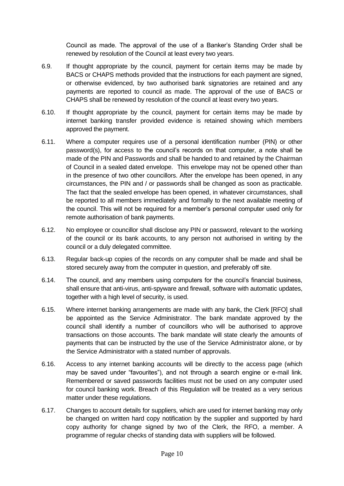Council as made. The approval of the use of a Banker's Standing Order shall be renewed by resolution of the Council at least every two years.

- 6.9. If thought appropriate by the council, payment for certain items may be made by BACS or CHAPS methods provided that the instructions for each payment are signed, or otherwise evidenced, by two authorised bank signatories are retained and any payments are reported to council as made. The approval of the use of BACS or CHAPS shall be renewed by resolution of the council at least every two years.
- 6.10. If thought appropriate by the council, payment for certain items may be made by internet banking transfer provided evidence is retained showing which members approved the payment.
- 6.11. Where a computer requires use of a personal identification number (PIN) or other password(s), for access to the council's records on that computer, a note shall be made of the PIN and Passwords and shall be handed to and retained by the Chairman of Council in a sealed dated envelope. This envelope may not be opened other than in the presence of two other councillors. After the envelope has been opened, in any circumstances, the PIN and / or passwords shall be changed as soon as practicable. The fact that the sealed envelope has been opened, in whatever circumstances, shall be reported to all members immediately and formally to the next available meeting of the council. This will not be required for a member's personal computer used only for remote authorisation of bank payments.
- 6.12. No employee or councillor shall disclose any PIN or password, relevant to the working of the council or its bank accounts, to any person not authorised in writing by the council or a duly delegated committee.
- 6.13. Regular back-up copies of the records on any computer shall be made and shall be stored securely away from the computer in question, and preferably off site.
- 6.14. The council, and any members using computers for the council's financial business, shall ensure that anti-virus, anti-spyware and firewall, software with automatic updates, together with a high level of security, is used.
- 6.15. Where internet banking arrangements are made with any bank, the Clerk [RFO] shall be appointed as the Service Administrator. The bank mandate approved by the council shall identify a number of councillors who will be authorised to approve transactions on those accounts. The bank mandate will state clearly the amounts of payments that can be instructed by the use of the Service Administrator alone, or by the Service Administrator with a stated number of approvals.
- 6.16. Access to any internet banking accounts will be directly to the access page (which may be saved under "favourites"), and not through a search engine or e-mail link. Remembered or saved passwords facilities must not be used on any computer used for council banking work. Breach of this Regulation will be treated as a very serious matter under these regulations.
- 6.17. Changes to account details for suppliers, which are used for internet banking may only be changed on written hard copy notification by the supplier and supported by hard copy authority for change signed by two of the Clerk, the RFO, a member. A programme of regular checks of standing data with suppliers will be followed.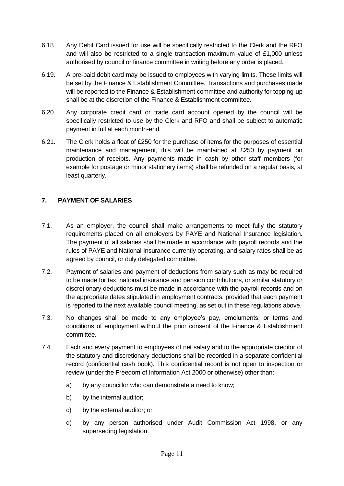- 6.18. Any Debit Card issued for use will be specifically restricted to the Clerk and the RFO and will also be restricted to a single transaction maximum value of £1,000 unless authorised by council or finance committee in writing before any order is placed.
- 6.19. A pre-paid debit card may be issued to employees with varying limits. These limits will be set by the Finance & Establishment Committee. Transactions and purchases made will be reported to the Finance & Establishment committee and authority for topping-up shall be at the discretion of the Finance & Establishment committee.
- 6.20. Any corporate credit card or trade card account opened by the council will be specifically restricted to use by the Clerk and RFO and shall be subject to automatic payment in full at each month-end.
- 6.21. The Clerk holds a float of £250 for the purchase of items for the purposes of essential maintenance and management, this will be maintained at £250 by payment on production of receipts. Any payments made in cash by other staff members (for example for postage or minor stationery items) shall be refunded on a regular basis, at least quarterly.

#### <span id="page-11-0"></span>**7. PAYMENT OF SALARIES**

- 7.1. As an employer, the council shall make arrangements to meet fully the statutory requirements placed on all employers by PAYE and National Insurance legislation. The payment of all salaries shall be made in accordance with payroll records and the rules of PAYE and National Insurance currently operating, and salary rates shall be as agreed by council, or duly delegated committee.
- 7.2. Payment of salaries and payment of deductions from salary such as may be required to be made for tax, national insurance and pension contributions, or similar statutory or discretionary deductions must be made in accordance with the payroll records and on the appropriate dates stipulated in employment contracts, provided that each payment is reported to the next available council meeting, as set out in these regulations above.
- 7.3. No changes shall be made to any employee's pay, emoluments, or terms and conditions of employment without the prior consent of the Finance & Establishment committee.
- 7.4. Each and every payment to employees of net salary and to the appropriate creditor of the statutory and discretionary deductions shall be recorded in a separate confidential record (confidential cash book). This confidential record is not open to inspection or review (under the Freedom of Information Act 2000 or otherwise) other than:
	- a) by any councillor who can demonstrate a need to know;
	- b) by the internal auditor;
	- c) by the external auditor; or
	- d) by any person authorised under Audit Commission Act 1998, or any superseding legislation.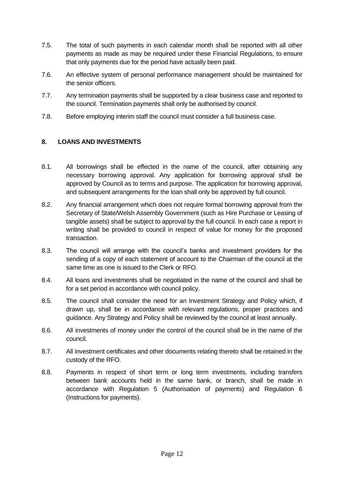- 7.5. The total of such payments in each calendar month shall be reported with all other payments as made as may be required under these Financial Regulations, to ensure that only payments due for the period have actually been paid.
- 7.6. An effective system of personal performance management should be maintained for the senior officers.
- 7.7. Any termination payments shall be supported by a clear business case and reported to the council. Termination payments shall only be authorised by council.
- 7.8. Before employing interim staff the council must consider a full business case.

# <span id="page-12-0"></span>**8. LOANS AND INVESTMENTS**

- 8.1. All borrowings shall be effected in the name of the council, after obtaining any necessary borrowing approval. Any application for borrowing approval shall be approved by Council as to terms and purpose. The application for borrowing approval, and subsequent arrangements for the loan shall only be approved by full council.
- 8.2. Any financial arrangement which does not require formal borrowing approval from the Secretary of State/Welsh Assembly Government (such as Hire Purchase or Leasing of tangible assets) shall be subject to approval by the full council. In each case a report in writing shall be provided to council in respect of value for money for the proposed transaction.
- 8.3. The council will arrange with the council's banks and investment providers for the sending of a copy of each statement of account to the Chairman of the council at the same time as one is issued to the Clerk or RFO.
- 8.4. All loans and investments shall be negotiated in the name of the council and shall be for a set period in accordance with council policy.
- 8.5. The council shall consider the need for an Investment Strategy and Policy which, if drawn up, shall be in accordance with relevant regulations, proper practices and guidance. Any Strategy and Policy shall be reviewed by the council at least annually.
- 8.6. All investments of money under the control of the council shall be in the name of the council.
- 8.7. All investment certificates and other documents relating thereto shall be retained in the custody of the RFO.
- 8.8. Payments in respect of short term or long term investments, including transfers between bank accounts held in the same bank, or branch, shall be made in accordance with Regulation 5 (Authorisation of payments) and Regulation 6 (Instructions for payments).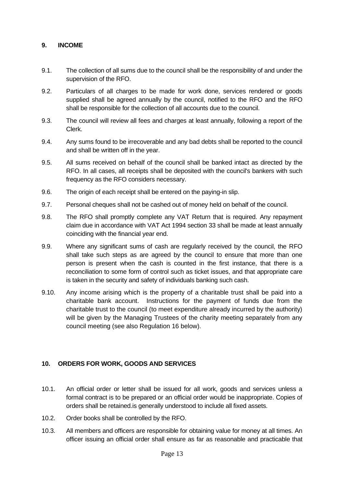#### <span id="page-13-0"></span>**9. INCOME**

- 9.1. The collection of all sums due to the council shall be the responsibility of and under the supervision of the RFO.
- 9.2. Particulars of all charges to be made for work done, services rendered or goods supplied shall be agreed annually by the council, notified to the RFO and the RFO shall be responsible for the collection of all accounts due to the council.
- 9.3. The council will review all fees and charges at least annually, following a report of the Clerk.
- 9.4. Any sums found to be irrecoverable and any bad debts shall be reported to the council and shall be written off in the year.
- 9.5. All sums received on behalf of the council shall be banked intact as directed by the RFO. In all cases, all receipts shall be deposited with the council's bankers with such frequency as the RFO considers necessary.
- 9.6. The origin of each receipt shall be entered on the paying-in slip.
- 9.7. Personal cheques shall not be cashed out of money held on behalf of the council.
- 9.8. The RFO shall promptly complete any VAT Return that is required. Any repayment claim due in accordance with VAT Act 1994 section 33 shall be made at least annually coinciding with the financial year end.
- 9.9. Where any significant sums of cash are regularly received by the council, the RFO shall take such steps as are agreed by the council to ensure that more than one person is present when the cash is counted in the first instance, that there is a reconciliation to some form of control such as ticket issues, and that appropriate care is taken in the security and safety of individuals banking such cash.
- 9.10. Any income arising which is the property of a charitable trust shall be paid into a charitable bank account. Instructions for the payment of funds due from the charitable trust to the council (to meet expenditure already incurred by the authority) will be given by the Managing Trustees of the charity meeting separately from any council meeting (see also Regulation 16 below).

#### <span id="page-13-1"></span>**10. ORDERS FOR WORK, GOODS AND SERVICES**

- 10.1. An official order or letter shall be issued for all work, goods and services unless a formal contract is to be prepared or an official order would be inappropriate. Copies of orders shall be retained.is generally understood to include all fixed assets.
- 10.2. Order books shall be controlled by the RFO.
- 10.3. All members and officers are responsible for obtaining value for money at all times. An officer issuing an official order shall ensure as far as reasonable and practicable that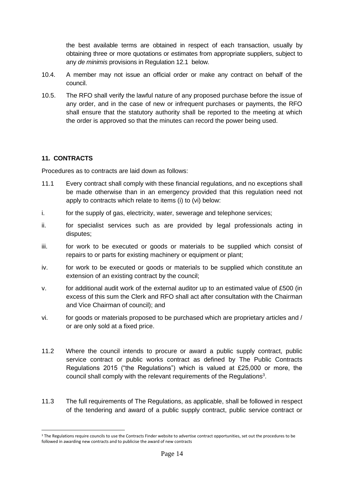the best available terms are obtained in respect of each transaction, usually by obtaining three or more quotations or estimates from appropriate suppliers, subject to any *de minimis* provisions in Regulation 12.1 below.

- 10.4. A member may not issue an official order or make any contract on behalf of the council.
- 10.5. The RFO shall verify the lawful nature of any proposed purchase before the issue of any order, and in the case of new or infrequent purchases or payments, the RFO shall ensure that the statutory authority shall be reported to the meeting at which the order is approved so that the minutes can record the power being used.

#### **11. CONTRACTS**

Procedures as to contracts are laid down as follows:

- 11.1 Every contract shall comply with these financial regulations, and no exceptions shall be made otherwise than in an emergency provided that this regulation need not apply to contracts which relate to items (i) to (vi) below:
- i. for the supply of gas, electricity, water, sewerage and telephone services;
- ii. for specialist services such as are provided by legal professionals acting in disputes;
- iii. for work to be executed or goods or materials to be supplied which consist of repairs to or parts for existing machinery or equipment or plant;
- iv. for work to be executed or goods or materials to be supplied which constitute an extension of an existing contract by the council;
- v. for additional audit work of the external auditor up to an estimated value of £500 (in excess of this sum the Clerk and RFO shall act after consultation with the Chairman and Vice Chairman of council); and
- vi. for goods or materials proposed to be purchased which are proprietary articles and / or are only sold at a fixed price.
- 11.2 Where the council intends to procure or award a public supply contract, public service contract or public works contract as defined by The Public Contracts Regulations 2015 ("the Regulations") which is valued at £25,000 or more, the council shall comply with the relevant requirements of the Regulations<sup>3</sup>.
- 11.3 The full requirements of The Regulations, as applicable, shall be followed in respect of the tendering and award of a public supply contract, public service contract or

<sup>&</sup>lt;sup>3</sup> The Regulations require councils to use the Contracts Finder website to advertise contract opportunities, set out the procedures to be followed in awarding new contracts and to publicise the award of new contracts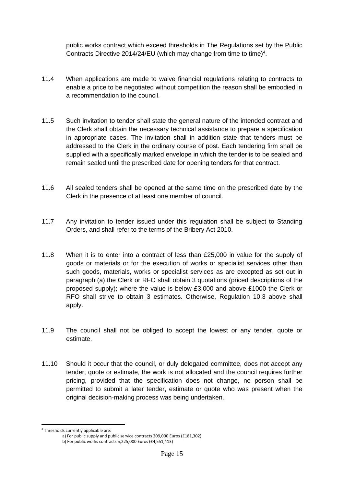public works contract which exceed thresholds in The Regulations set by the Public Contracts Directive 2014/24/EU (which may change from time to time)<sup>4</sup>.

- 11.4 When applications are made to waive financial regulations relating to contracts to enable a price to be negotiated without competition the reason shall be embodied in a recommendation to the council.
- 11.5 Such invitation to tender shall state the general nature of the intended contract and the Clerk shall obtain the necessary technical assistance to prepare a specification in appropriate cases. The invitation shall in addition state that tenders must be addressed to the Clerk in the ordinary course of post. Each tendering firm shall be supplied with a specifically marked envelope in which the tender is to be sealed and remain sealed until the prescribed date for opening tenders for that contract.
- 11.6 All sealed tenders shall be opened at the same time on the prescribed date by the Clerk in the presence of at least one member of council.
- 11.7 Any invitation to tender issued under this regulation shall be subject to Standing Orders, and shall refer to the terms of the Bribery Act 2010.
- 11.8 When it is to enter into a contract of less than £25,000 in value for the supply of goods or materials or for the execution of works or specialist services other than such goods, materials, works or specialist services as are excepted as set out in paragraph (a) the Clerk or RFO shall obtain 3 quotations (priced descriptions of the proposed supply); where the value is below £3,000 and above £1000 the Clerk or RFO shall strive to obtain 3 estimates. Otherwise, Regulation 10.3 above shall apply.
- 11.9 The council shall not be obliged to accept the lowest or any tender, quote or estimate.
- 11.10 Should it occur that the council, or duly delegated committee, does not accept any tender, quote or estimate, the work is not allocated and the council requires further pricing, provided that the specification does not change, no person shall be permitted to submit a later tender, estimate or quote who was present when the original decision-making process was being undertaken.

<sup>4</sup> Thresholds currently applicable are:

a) For public supply and public service contracts 209,000 Euros (£181,302)

b) For public works contracts 5,225,000 Euros (£4,551,413)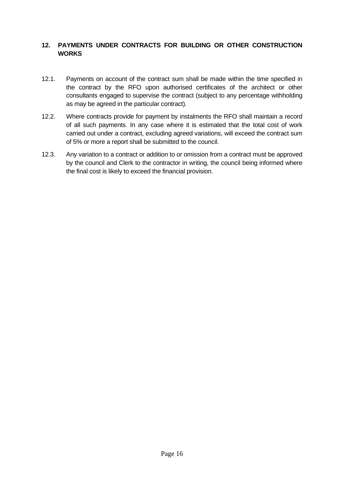#### <span id="page-16-0"></span>**12. PAYMENTS UNDER CONTRACTS FOR BUILDING OR OTHER CONSTRUCTION WORKS**

- 12.1. Payments on account of the contract sum shall be made within the time specified in the contract by the RFO upon authorised certificates of the architect or other consultants engaged to supervise the contract (subject to any percentage withholding as may be agreed in the particular contract).
- 12.2. Where contracts provide for payment by instalments the RFO shall maintain a record of all such payments. In any case where it is estimated that the total cost of work carried out under a contract, excluding agreed variations, will exceed the contract sum of 5% or more a report shall be submitted to the council.
- 12.3. Any variation to a contract or addition to or omission from a contract must be approved by the council and Clerk to the contractor in writing, the council being informed where the final cost is likely to exceed the financial provision.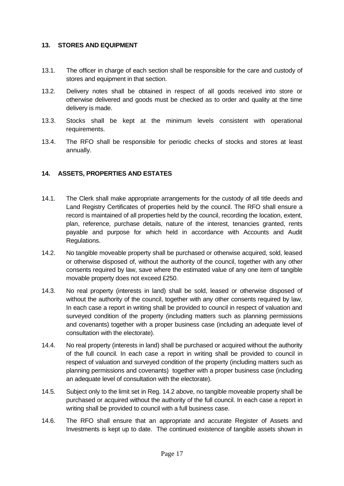#### <span id="page-17-0"></span>**13. STORES AND EQUIPMENT**

- 13.1. The officer in charge of each section shall be responsible for the care and custody of stores and equipment in that section.
- 13.2. Delivery notes shall be obtained in respect of all goods received into store or otherwise delivered and goods must be checked as to order and quality at the time delivery is made.
- 13.3. Stocks shall be kept at the minimum levels consistent with operational requirements.
- 13.4. The RFO shall be responsible for periodic checks of stocks and stores at least annually.

#### <span id="page-17-1"></span>**14. ASSETS, PROPERTIES AND ESTATES**

- 14.1. The Clerk shall make appropriate arrangements for the custody of all title deeds and Land Registry Certificates of properties held by the council. The RFO shall ensure a record is maintained of all properties held by the council, recording the location, extent, plan, reference, purchase details, nature of the interest, tenancies granted, rents payable and purpose for which held in accordance with Accounts and Audit Regulations.
- 14.2. No tangible moveable property shall be purchased or otherwise acquired, sold, leased or otherwise disposed of, without the authority of the council, together with any other consents required by law, save where the estimated value of any one item of tangible movable property does not exceed £250.
- 14.3. No real property (interests in land) shall be sold, leased or otherwise disposed of without the authority of the council, together with any other consents required by law, In each case a report in writing shall be provided to council in respect of valuation and surveyed condition of the property (including matters such as planning permissions and covenants) together with a proper business case (including an adequate level of consultation with the electorate).
- 14.4. No real property (interests in land) shall be purchased or acquired without the authority of the full council. In each case a report in writing shall be provided to council in respect of valuation and surveyed condition of the property (including matters such as planning permissions and covenants) together with a proper business case (including an adequate level of consultation with the electorate).
- 14.5. Subject only to the limit set in Reg. 14.2 above, no tangible moveable property shall be purchased or acquired without the authority of the full council. In each case a report in writing shall be provided to council with a full business case.
- 14.6. The RFO shall ensure that an appropriate and accurate Register of Assets and Investments is kept up to date. The continued existence of tangible assets shown in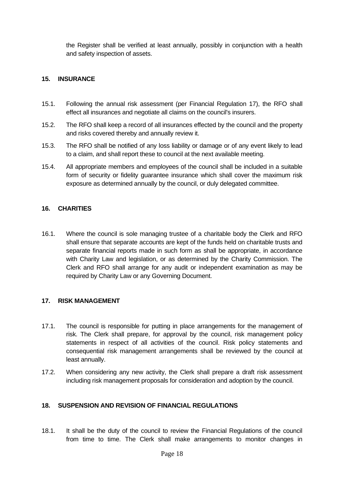the Register shall be verified at least annually, possibly in conjunction with a health and safety inspection of assets.

#### <span id="page-18-0"></span>**15. INSURANCE**

- 15.1. Following the annual risk assessment (per Financial Regulation 17), the RFO shall effect all insurances and negotiate all claims on the council's insurers.
- 15.2. The RFO shall keep a record of all insurances effected by the council and the property and risks covered thereby and annually review it.
- 15.3. The RFO shall be notified of any loss liability or damage or of any event likely to lead to a claim, and shall report these to council at the next available meeting.
- 15.4. All appropriate members and employees of the council shall be included in a suitable form of security or fidelity guarantee insurance which shall cover the maximum risk exposure as determined annually by the council, or duly delegated committee.

#### <span id="page-18-1"></span>**16. CHARITIES**

16.1. Where the council is sole managing trustee of a charitable body the Clerk and RFO shall ensure that separate accounts are kept of the funds held on charitable trusts and separate financial reports made in such form as shall be appropriate, in accordance with Charity Law and legislation, or as determined by the Charity Commission. The Clerk and RFO shall arrange for any audit or independent examination as may be required by Charity Law or any Governing Document.

#### <span id="page-18-2"></span>**17. RISK MANAGEMENT**

- 17.1. The council is responsible for putting in place arrangements for the management of risk. The Clerk shall prepare, for approval by the council, risk management policy statements in respect of all activities of the council. Risk policy statements and consequential risk management arrangements shall be reviewed by the council at least annually.
- 17.2. When considering any new activity, the Clerk shall prepare a draft risk assessment including risk management proposals for consideration and adoption by the council.

#### <span id="page-18-3"></span>**18. SUSPENSION AND REVISION OF FINANCIAL REGULATIONS**

18.1. It shall be the duty of the council to review the Financial Regulations of the council from time to time. The Clerk shall make arrangements to monitor changes in